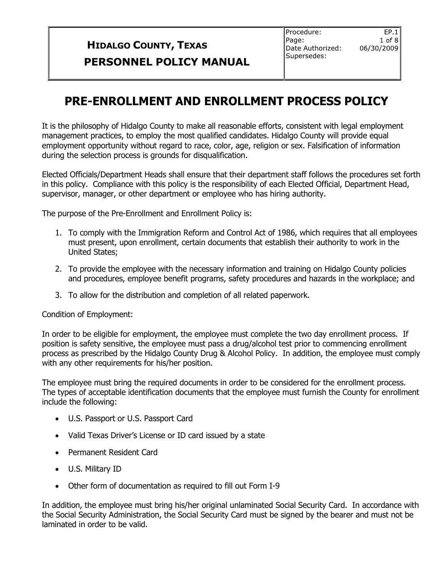$EP.1$  $1$  of  $8$ 

## **PRE-ENROLLMENT AND ENROLLMENT PROCESS POLICY**

It is the philosophy of Hidalgo County to make all reasonable efforts, consistent with legal employment management practices, to employ the most qualified candidates. Hidalgo County will provide equal employment opportunity without regard to race, color, age, religion or sex. Falsification of information during the selection process is grounds for disqualification.

Elected Officials/Department Heads shall ensure that their department staff follows the procedures set forth in this policy. Compliance with this policy is the responsibility of each Elected Official, Department Head, supervisor, manager, or other department or employee who has hiring authority.

The purpose of the Pre-Enrollment and Enrollment Policy is:

- 1. To comply with the Immigration Reform and Control Act of 1986, which requires that all employees must present, upon enrollment, certain documents that establish their authority to work in the United States;
- 2. To provide the employee with the necessary information and training on Hidalgo County policies and procedures, employee benefit programs, safety procedures and hazards in the workplace; and
- 3. To allow for the distribution and completion of all related paperwork.

#### Condition of Employment:

In order to be eligible for employment, the employee must complete the two day enrollment process. If position is safety sensitive, the employee must pass a drug/alcohol test prior to commencing enrollment process as prescribed by the Hidalgo County Drug & Alcohol Policy. In addition, the employee must comply with any other requirements for his/her position.

The employee must bring the required documents in order to be considered for the enrollment process. The types of acceptable identification documents that the employee must furnish the County for enrollment include the following:

- U.S. Passport or U.S. Passport Card
- Valid Texas Driver's License or ID card issued by a state
- Permanent Resident Card
- U.S. Military ID
- Other form of documentation as required to fill out Form I-9

In addition, the employee must bring his/her original unlaminated Social Security Card. In accordance with the Social Security Administration, the Social Security Card must be signed by the bearer and must not be laminated in order to be valid.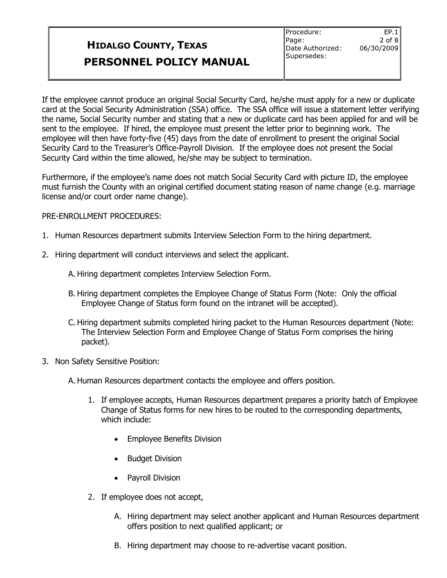If the employee cannot produce an original Social Security Card, he/she must apply for a new or duplicate card at the Social Security Administration (SSA) office. The SSA office will issue a statement letter verifying the name, Social Security number and stating that a new or duplicate card has been applied for and will be sent to the employee. If hired, the employee must present the letter prior to beginning work. The employee will then have forty-five (45) days from the date of enrollment to present the original Social Security Card to the Treasurer's Office-Payroll Division. If the employee does not present the Social Security Card within the time allowed, he/she may be subject to termination.

Furthermore, if the employee's name does not match Social Security Card with picture ID, the employee must furnish the County with an original certified document stating reason of name change (e.g. marriage license and/or court order name change).

#### PRE-ENROLLMENT PROCEDURES:

- 1. Human Resources department submits Interview Selection Form to the hiring department.
- 2. Hiring department will conduct interviews and select the applicant.
	- A. Hiring department completes Interview Selection Form.
	- B. Hiring department completes the Employee Change of Status Form (Note: Only the official Employee Change of Status form found on the intranet will be accepted).
	- C. Hiring department submits completed hiring packet to the Human Resources department (Note: The Interview Selection Form and Employee Change of Status Form comprises the hiring packet).
- 3. Non Safety Sensitive Position:

A. Human Resources department contacts the employee and offers position.

- 1. If employee accepts, Human Resources department prepares a priority batch of Employee Change of Status forms for new hires to be routed to the corresponding departments, which include:
	- Employee Benefits Division
	- Budget Division
	- Payroll Division
- 2. If employee does not accept,
	- A. Hiring department may select another applicant and Human Resources department offers position to next qualified applicant; or
	- B. Hiring department may choose to re-advertise vacant position.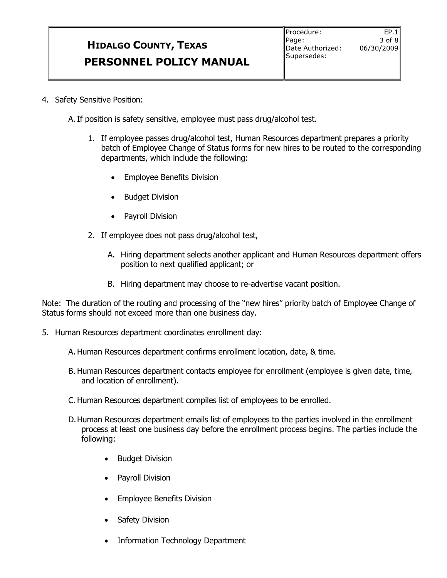$EP.1$ 3 of 8

A.If position is safety sensitive, employee must pass drug/alcohol test.

- 1. If employee passes drug/alcohol test, Human Resources department prepares a priority batch of Employee Change of Status forms for new hires to be routed to the corresponding departments, which include the following:
	- Employee Benefits Division
	- Budget Division
	- Payroll Division
- 2. If employee does not pass drug/alcohol test,
	- A. Hiring department selects another applicant and Human Resources department offers position to next qualified applicant; or
	- B. Hiring department may choose to re-advertise vacant position.

Note: The duration of the routing and processing of the "new hires" priority batch of Employee Change of Status forms should not exceed more than one business day.

- 5. Human Resources department coordinates enrollment day:
	- A. Human Resources department confirms enrollment location, date, & time.
	- B. Human Resources department contacts employee for enrollment (employee is given date, time, and location of enrollment).
	- C. Human Resources department compiles list of employees to be enrolled.
	- D.Human Resources department emails list of employees to the parties involved in the enrollment process at least one business day before the enrollment process begins. The parties include the following:
		- Budget Division
		- Payroll Division
		- Employee Benefits Division
		- Safety Division
		- Information Technology Department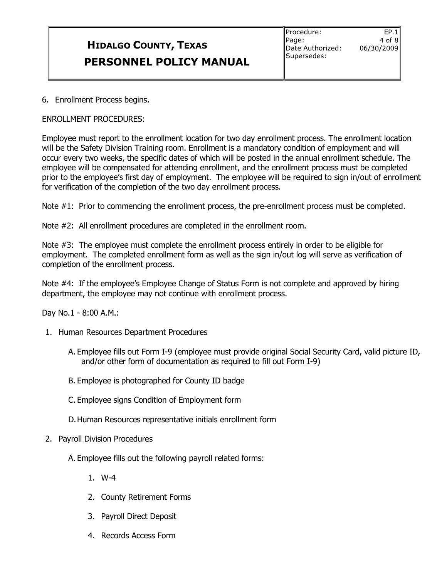$E.P.1$  $4$  of  $8$ 06/30/2009

6. Enrollment Process begins.

#### ENROLLMENT PROCEDURES:

Employee must report to the enrollment location for two day enrollment process. The enrollment location will be the Safety Division Training room. Enrollment is a mandatory condition of employment and will occur every two weeks, the specific dates of which will be posted in the annual enrollment schedule. The employee will be compensated for attending enrollment, and the enrollment process must be completed prior to the employee's first day of employment. The employee will be required to sign in/out of enrollment for verification of the completion of the two day enrollment process.

Note #1: Prior to commencing the enrollment process, the pre-enrollment process must be completed.

Note #2: All enrollment procedures are completed in the enrollment room.

Note #3: The employee must complete the enrollment process entirely in order to be eligible for employment. The completed enrollment form as well as the sign in/out log will serve as verification of completion of the enrollment process.

Note #4: If the employee's Employee Change of Status Form is not complete and approved by hiring department, the employee may not continue with enrollment process.

Day No.1 - 8:00 A.M.:

- 1. Human Resources Department Procedures
	- A. Employee fills out Form I-9 (employee must provide original Social Security Card, valid picture ID, and/or other form of documentation as required to fill out Form I-9)
	- B. Employee is photographed for County ID badge
	- C. Employee signs Condition of Employment form
	- D.Human Resources representative initials enrollment form
- 2. Payroll Division Procedures

A. Employee fills out the following payroll related forms:

- 1. W-4
- 2. County Retirement Forms
- 3. Payroll Direct Deposit
- 4. Records Access Form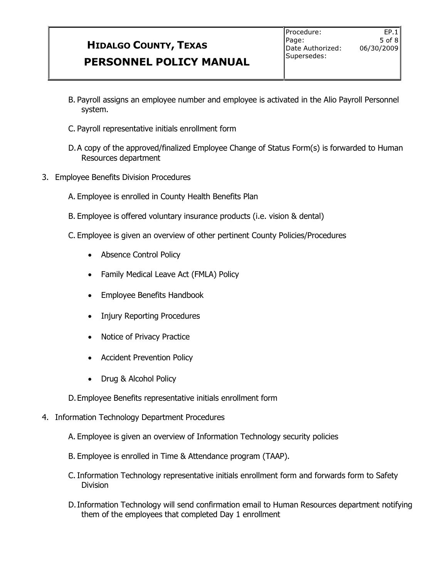- B. Payroll assigns an employee number and employee is activated in the Alio Payroll Personnel system.
- C. Payroll representative initials enrollment form
- D.A copy of the approved/finalized Employee Change of Status Form(s) is forwarded to Human Resources department
- 3. Employee Benefits Division Procedures
	- A. Employee is enrolled in County Health Benefits Plan
	- B. Employee is offered voluntary insurance products (i.e. vision & dental)
	- C. Employee is given an overview of other pertinent County Policies/Procedures
		- Absence Control Policy
		- Family Medical Leave Act (FMLA) Policy
		- Employee Benefits Handbook
		- Injury Reporting Procedures
		- Notice of Privacy Practice
		- Accident Prevention Policy
		- Drug & Alcohol Policy
	- D.Employee Benefits representative initials enrollment form
- 4. Information Technology Department Procedures
	- A. Employee is given an overview of Information Technology security policies
	- B. Employee is enrolled in Time & Attendance program (TAAP).
	- C.Information Technology representative initials enrollment form and forwards form to Safety Division
	- D.Information Technology will send confirmation email to Human Resources department notifying them of the employees that completed Day 1 enrollment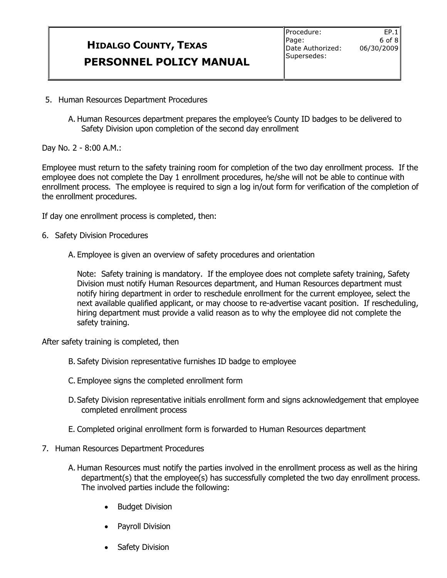$EP.1$  $6$  of  $8$ 

- 5. Human Resources Department Procedures
	- A. Human Resources department prepares the employee's County ID badges to be delivered to Safety Division upon completion of the second day enrollment

Day No. 2 - 8:00 A.M.:

Employee must return to the safety training room for completion of the two day enrollment process. If the employee does not complete the Day 1 enrollment procedures, he/she will not be able to continue with enrollment process. The employee is required to sign a log in/out form for verification of the completion of the enrollment procedures.

If day one enrollment process is completed, then:

- 6. Safety Division Procedures
	- A. Employee is given an overview of safety procedures and orientation

Note: Safety training is mandatory. If the employee does not complete safety training, Safety Division must notify Human Resources department, and Human Resources department must notify hiring department in order to reschedule enrollment for the current employee, select the next available qualified applicant, or may choose to re-advertise vacant position. If rescheduling, hiring department must provide a valid reason as to why the employee did not complete the safety training.

After safety training is completed, then

- B. Safety Division representative furnishes ID badge to employee
- C. Employee signs the completed enrollment form
- D.Safety Division representative initials enrollment form and signs acknowledgement that employee completed enrollment process
- E. Completed original enrollment form is forwarded to Human Resources department
- 7. Human Resources Department Procedures
	- A. Human Resources must notify the parties involved in the enrollment process as well as the hiring department(s) that the employee(s) has successfully completed the two day enrollment process. The involved parties include the following:
		- Budget Division
		- Payroll Division
		- Safety Division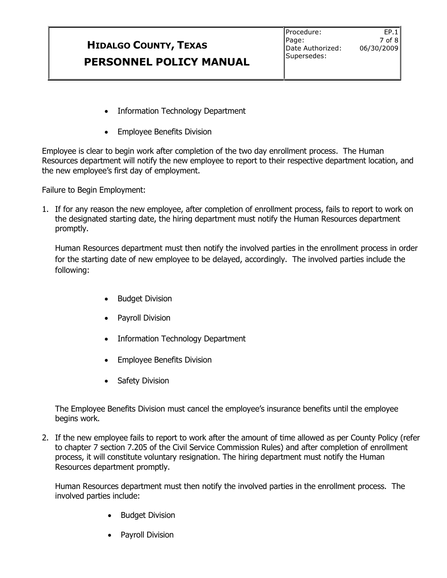$EP.1$ 7 of 8 06/30/2009

- Information Technology Department
- Employee Benefits Division

Employee is clear to begin work after completion of the two day enrollment process. The Human Resources department will notify the new employee to report to their respective department location, and the new employee's first day of employment.

Failure to Begin Employment:

1. If for any reason the new employee, after completion of enrollment process, fails to report to work on the designated starting date, the hiring department must notify the Human Resources department promptly.

Human Resources department must then notify the involved parties in the enrollment process in order for the starting date of new employee to be delayed, accordingly. The involved parties include the following:

- Budget Division
- Payroll Division
- Information Technology Department
- Employee Benefits Division
- Safety Division

The Employee Benefits Division must cancel the employee's insurance benefits until the employee begins work.

2. If the new employee fails to report to work after the amount of time allowed as per County Policy (refer to chapter 7 section 7.205 of the Civil Service Commission Rules) and after completion of enrollment process, it will constitute voluntary resignation. The hiring department must notify the Human Resources department promptly.

Human Resources department must then notify the involved parties in the enrollment process. The involved parties include:

- Budget Division
- Payroll Division